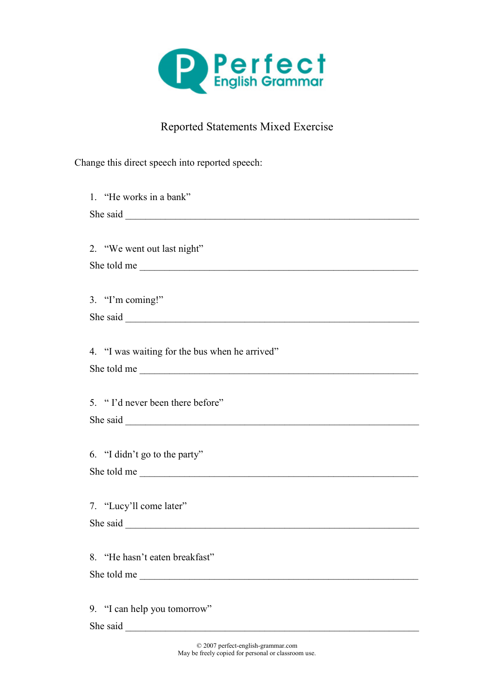

## Reported Statements Mixed Exercise

Change this direct speech into reported speech:

| 1. "He works in a bank"                        |
|------------------------------------------------|
|                                                |
|                                                |
| 2. "We went out last night"                    |
| She told me                                    |
|                                                |
| 3. "I'm coming!"                               |
|                                                |
|                                                |
| 4. "I was waiting for the bus when he arrived" |
| She told me                                    |
|                                                |
| 5. "I'd never been there before"               |
|                                                |
|                                                |
| 6. "I didn't go to the party"                  |
| She told me                                    |
|                                                |
| 7. "Lucy'll come later"                        |
|                                                |
|                                                |
| 8. "He hasn't eaten breakfast"                 |
| She told me                                    |
|                                                |
| 9. "I can help you tomorrow"                   |
|                                                |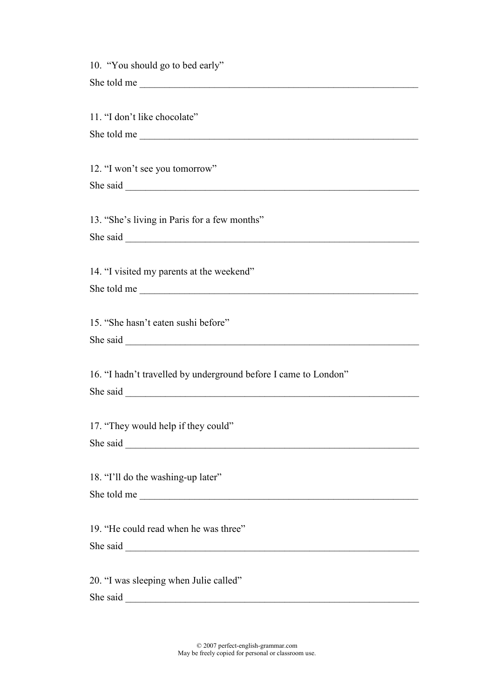| 10. "You should go to bed early"                                |
|-----------------------------------------------------------------|
| She told me                                                     |
|                                                                 |
| 11. "I don't like chocolate"                                    |
| She told me                                                     |
|                                                                 |
| 12. "I won't see you tomorrow"                                  |
|                                                                 |
|                                                                 |
|                                                                 |
| 13. "She's living in Paris for a few months"                    |
| She said                                                        |
|                                                                 |
| 14. "I visited my parents at the weekend"                       |
| She told me                                                     |
|                                                                 |
| 15. "She hasn't eaten sushi before"                             |
|                                                                 |
|                                                                 |
| 16. "I hadn't travelled by underground before I came to London" |
|                                                                 |
|                                                                 |
| 17. "They would help if they could"                             |
|                                                                 |
|                                                                 |
|                                                                 |
| 18. "I'll do the washing-up later"                              |
| She told me                                                     |
|                                                                 |
| 19. "He could read when he was three"                           |
|                                                                 |
|                                                                 |
| 20. "I was sleeping when Julie called"                          |
| She said<br><u> 1980 - Jan Barat, martin amerikan ba</u>        |